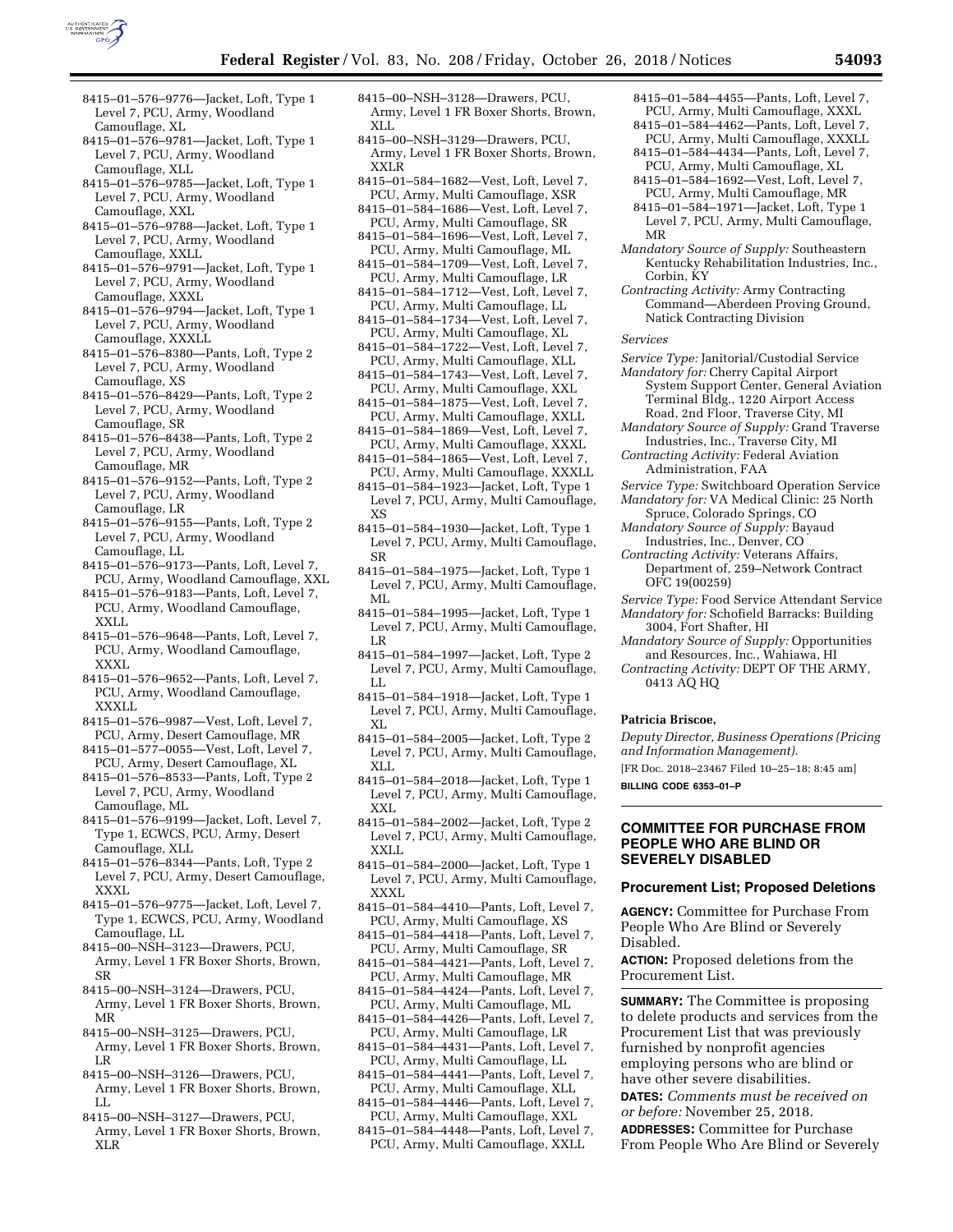

- 8415–01–576–9776—Jacket, Loft, Type 1 Level 7, PCU, Army, Woodland Camouflage, XL
- 8415–01–576–9781—Jacket, Loft, Type 1 Level 7, PCU, Army, Woodland Camouflage, XLL
- 8415–01–576–9785—Jacket, Loft, Type 1 Level 7, PCU, Army, Woodland Camouflage, XXL
- 8415–01–576–9788—Jacket, Loft, Type 1 Level 7, PCU, Army, Woodland Camouflage, XXLL
- 8415–01–576–9791—Jacket, Loft, Type 1 Level 7, PCU, Army, Woodland Camouflage, XXXL
- 8415–01–576–9794—Jacket, Loft, Type 1 Level 7, PCU, Army, Woodland Camouflage, XXXLL
- 8415–01–576–8380—Pants, Loft, Type 2 Level 7, PCU, Army, Woodland Camouflage, XS
- 8415–01–576–8429—Pants, Loft, Type 2 Level 7, PCU, Army, Woodland Camouflage, SR
- 8415–01–576–8438—Pants, Loft, Type 2 Level 7, PCU, Army, Woodland Camouflage, MR
- 8415–01–576–9152—Pants, Loft, Type 2 Level 7, PCU, Army, Woodland Camouflage, LR
- 8415–01–576–9155—Pants, Loft, Type 2 Level 7, PCU, Army, Woodland Camouflage, LL
- 8415–01–576–9173—Pants, Loft, Level 7, PCU, Army, Woodland Camouflage, XXL
- 8415–01–576–9183—Pants, Loft, Level 7, PCU, Army, Woodland Camouflage, XXLL
- 8415–01–576–9648—Pants, Loft, Level 7, PCU, Army, Woodland Camouflage, XXXL
- 8415–01–576–9652—Pants, Loft, Level 7, PCU, Army, Woodland Camouflage, XXXLL
- 8415–01–576–9987—Vest, Loft, Level 7, PCU, Army, Desert Camouflage, MR
- 8415–01–577–0055—Vest, Loft, Level 7, PCU, Army, Desert Camouflage, XL
- 8415–01–576–8533—Pants, Loft, Type 2 Level 7, PCU, Army, Woodland Camouflage, ML
- 8415–01–576–9199—Jacket, Loft, Level 7, Type 1, ECWCS, PCU, Army, Desert Camouflage, XLL
- 8415–01–576–8344—Pants, Loft, Type 2 Level 7, PCU, Army, Desert Camouflage, XXXL
- 8415–01–576–9775—Jacket, Loft, Level 7, Type 1, ECWCS, PCU, Army, Woodland Camouflage, LL
- 8415–00–NSH–3123—Drawers, PCU, Army, Level 1 FR Boxer Shorts, Brown, SR
- 8415–00–NSH–3124—Drawers, PCU, Army, Level 1 FR Boxer Shorts, Brown, MR
- 8415–00–NSH–3125—Drawers, PCU, Army, Level 1 FR Boxer Shorts, Brown, LR
- 8415–00–NSH–3126—Drawers, PCU, Army, Level 1 FR Boxer Shorts, Brown, LL
- 8415–00–NSH–3127—Drawers, PCU, Army, Level 1 FR Boxer Shorts, Brown, XLR
- 8415–00–NSH–3128—Drawers, PCU, Army, Level 1 FR Boxer Shorts, Brown, XLL
- 8415–00–NSH–3129—Drawers, PCU, Army, Level 1 FR Boxer Shorts, Brown, XXLR
- 8415–01–584–1682—Vest, Loft, Level 7, PCU, Army, Multi Camouflage, XSR
- 8415–01–584–1686—Vest, Loft, Level 7, PCU, Army, Multi Camouflage, SR
- 8415–01–584–1696—Vest, Loft, Level 7, PCU, Army, Multi Camouflage, ML
- 8415–01–584–1709—Vest, Loft, Level 7, PCU, Army, Multi Camouflage, LR
- 8415–01–584–1712—Vest, Loft, Level 7, PCU, Army, Multi Camouflage, LL
- 8415–01–584–1734—Vest, Loft, Level 7, PCU, Army, Multi Camouflage, XL
- 8415–01–584–1722—Vest, Loft, Level 7, PCU, Army, Multi Camouflage, XLL
- 8415–01–584–1743—Vest, Loft, Level 7, PCU, Army, Multi Camouflage, XXL
- 8415–01–584–1875—Vest, Loft, Level 7, PCU, Army, Multi Camouflage, XXLL
- 8415–01–584–1869—Vest, Loft, Level 7, PCU, Army, Multi Camouflage, XXXL
- 8415–01–584–1865—Vest, Loft, Level 7, PCU, Army, Multi Camouflage, XXXLL
- 8415–01–584–1923—Jacket, Loft, Type 1 Level 7, PCU, Army, Multi Camouflage, XS
- 8415–01–584–1930—Jacket, Loft, Type 1 Level 7, PCU, Army, Multi Camouflage, SR
- 8415–01–584–1975—Jacket, Loft, Type 1 Level 7, PCU, Army, Multi Camouflage, ML
- 8415–01–584–1995—Jacket, Loft, Type 1 Level 7, PCU, Army, Multi Camouflage, LR
- 8415–01–584–1997—Jacket, Loft, Type 2 Level 7, PCU, Army, Multi Camouflage, LL
- 8415–01–584–1918—Jacket, Loft, Type 1 Level 7, PCU, Army, Multi Camouflage, XL
- 8415–01–584–2005—Jacket, Loft, Type 2 Level 7, PCU, Army, Multi Camouflage, XLL
- 8415–01–584–2018—Jacket, Loft, Type 1 Level 7, PCU, Army, Multi Camouflage, XXI.
- 8415–01–584–2002—Jacket, Loft, Type 2 Level 7, PCU, Army, Multi Camouflage, XXLL
- 8415–01–584–2000—Jacket, Loft, Type 1 Level 7, PCU, Army, Multi Camouflage, XXXL
- 8415–01–584–4410—Pants, Loft, Level 7, PCU, Army, Multi Camouflage, XS
- 8415–01–584–4418—Pants, Loft, Level 7, PCU, Army, Multi Camouflage, SR
- 8415–01–584–4421—Pants, Loft, Level 7, PCU, Army, Multi Camouflage, MR
- 8415–01–584–4424—Pants, Loft, Level 7, PCU, Army, Multi Camouflage, ML
- 8415–01–584–4426—Pants, Loft, Level 7, PCU, Army, Multi Camouflage, LR
- 8415–01–584–4431—Pants, Loft, Level 7, PCU, Army, Multi Camouflage, LL
- 8415–01–584–4441—Pants, Loft, Level 7, PCU, Army, Multi Camouflage, XLL
- 8415–01–584–4446—Pants, Loft, Level 7, PCU, Army, Multi Camouflage, XXL
- 8415–01–584–4448—Pants, Loft, Level 7, PCU, Army, Multi Camouflage, XXLL
- 8415–01–584–4455—Pants, Loft, Level 7, PCU, Army, Multi Camouflage, XXXL
- 8415–01–584–4462—Pants, Loft, Level 7, PCU, Army, Multi Camouflage, XXXLL
- 8415–01–584–4434—Pants, Loft, Level 7, PCU, Army, Multi Camouflage, XL
- 8415–01–584–1692—Vest, Loft, Level 7, PCU, Army, Multi Camouflage, MR 8415–01–584–1971—Jacket, Loft, Type 1
- Level 7, PCU, Army, Multi Camouflage, MR
- *Mandatory Source of Supply:* Southeastern Kentucky Rehabilitation Industries, Inc., Corbin, KY
- *Contracting Activity:* Army Contracting Command—Aberdeen Proving Ground, Natick Contracting Division

*Services* 

- *Service Type:* Janitorial/Custodial Service *Mandatory for:* Cherry Capital Airport System Support Center, General Aviation Terminal Bldg., 1220 Airport Access Road, 2nd Floor, Traverse City, MI
- *Mandatory Source of Supply:* Grand Traverse Industries, Inc., Traverse City, MI
- *Contracting Activity:* Federal Aviation Administration, FAA
- *Service Type:* Switchboard Operation Service *Mandatory for:* VA Medical Clinic: 25 North
- Spruce, Colorado Springs, CO *Mandatory Source of Supply:* Bayaud
- Industries, Inc., Denver, CO *Contracting Activity:* Veterans Affairs,
- Department of, 259–Network Contract OFC 19(00259)
- *Service Type:* Food Service Attendant Service *Mandatory for:* Schofield Barracks: Building
- 3004, Fort Shafter, HI *Mandatory Source of Supply:* Opportunities
- and Resources, Inc., Wahiawa, HI
- *Contracting Activity:* DEPT OF THE ARMY, 0413 AQ HQ

## **Patricia Briscoe,**

*Deputy Director, Business Operations (Pricing and Information Management).* 

[FR Doc. 2018–23467 Filed 10–25–18; 8:45 am]

**BILLING CODE 6353–01–P** 

## **COMMITTEE FOR PURCHASE FROM PEOPLE WHO ARE BLIND OR SEVERELY DISABLED**

### **Procurement List; Proposed Deletions**

**AGENCY:** Committee for Purchase From People Who Are Blind or Severely Disabled.

**ACTION:** Proposed deletions from the Procurement List.

**SUMMARY:** The Committee is proposing to delete products and services from the Procurement List that was previously furnished by nonprofit agencies employing persons who are blind or have other severe disabilities.

**DATES:** *Comments must be received on or before:* November 25, 2018.

**ADDRESSES:** Committee for Purchase From People Who Are Blind or Severely